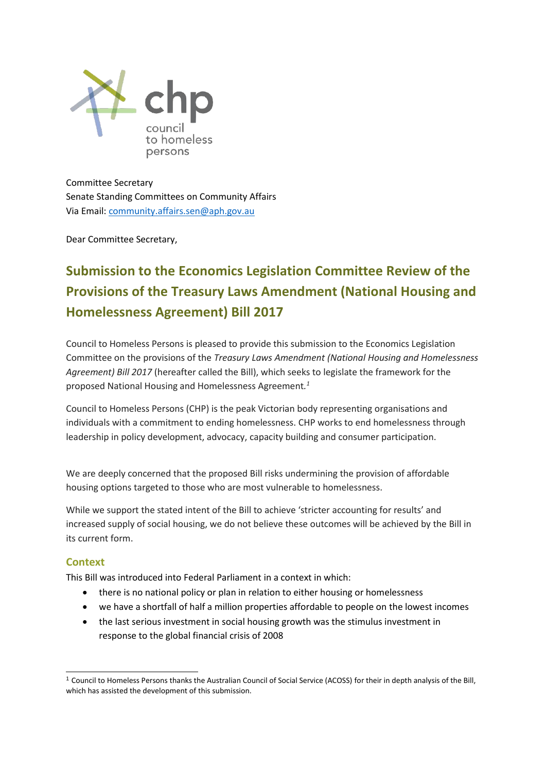

Committee Secretary Senate Standing Committees on Community Affairs Via Email[: community.affairs.sen@aph.gov.au](mailto:community.affairs.sen@aph.gov.au)

Dear Committee Secretary,

# **Submission to the Economics Legislation Committee Review of the Provisions of the Treasury Laws Amendment (National Housing and Homelessness Agreement) Bill 2017**

Council to Homeless Persons is pleased to provide this submission to the Economics Legislation Committee on the provisions of the *Treasury Laws Amendment (National Housing and Homelessness Agreement) Bill 2017* (hereafter called the Bill), which seeks to legislate the framework for the proposed National Housing and Homelessness Agreement*. 1*

Council to Homeless Persons (CHP) is the peak Victorian body representing organisations and individuals with a commitment to ending homelessness. CHP works to end homelessness through leadership in policy development, advocacy, capacity building and consumer participation.

We are deeply concerned that the proposed Bill risks undermining the provision of affordable housing options targeted to those who are most vulnerable to homelessness.

While we support the stated intent of the Bill to achieve 'stricter accounting for results' and increased supply of social housing, we do not believe these outcomes will be achieved by the Bill in its current form.

## **Context**

-

This Bill was introduced into Federal Parliament in a context in which:

- there is no national policy or plan in relation to either housing or homelessness
- we have a shortfall of half a million properties affordable to people on the lowest incomes
- the last serious investment in social housing growth was the stimulus investment in response to the global financial crisis of 2008

<sup>1</sup> Council to Homeless Persons thanks the Australian Council of Social Service (ACOSS) for their in depth analysis of the Bill, which has assisted the development of this submission.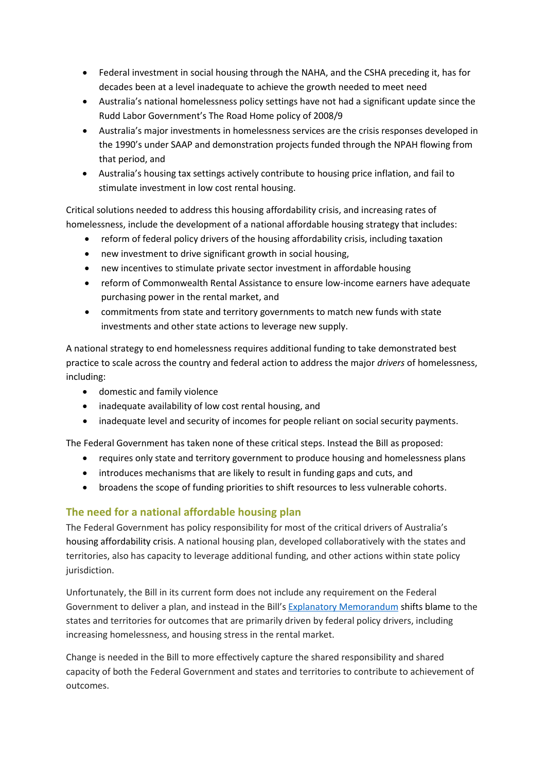- Federal investment in social housing through the NAHA, and the CSHA preceding it, has for decades been at a level inadequate to achieve the growth needed to meet need
- Australia's national homelessness policy settings have not had a significant update since the Rudd Labor Government's The Road Home policy of 2008/9
- Australia's major investments in homelessness services are the crisis responses developed in the 1990's under SAAP and demonstration projects funded through the NPAH flowing from that period, and
- Australia's housing tax settings actively contribute to housing price inflation, and fail to stimulate investment in low cost rental housing.

Critical solutions needed to address this housing affordability crisis, and increasing rates of homelessness, include the development of a national affordable housing strategy that includes:

- reform of federal policy drivers of the housing affordability crisis, including taxation
- new investment to drive significant growth in social housing,
- new incentives to stimulate private sector investment in affordable housing
- reform of Commonwealth Rental Assistance to ensure low-income earners have adequate purchasing power in the rental market, and
- commitments from state and territory governments to match new funds with state investments and other state actions to leverage new supply.

A national strategy to end homelessness requires additional funding to take demonstrated best practice to scale across the country and federal action to address the major *drivers* of homelessness, including:

- domestic and family violence
- inadequate availability of low cost rental housing, and
- inadequate level and security of incomes for people reliant on social security payments.

The Federal Government has taken none of these critical steps. Instead the Bill as proposed:

- requires only state and territory government to produce housing and homelessness plans
- introduces mechanisms that are likely to result in funding gaps and cuts, and
- broadens the scope of funding priorities to shift resources to less vulnerable cohorts.

## **The need for a national affordable housing plan**

The Federal Government has policy responsibility for most of the critical drivers of Australia's housing affordability crisis. A national housing plan, developed collaboratively with the states and territories, also has capacity to leverage additional funding, and other actions within state policy jurisdiction.

Unfortunately, the Bill in its current form does not include any requirement on the Federal Government to deliver a plan, and instead in the Bill's [Explanatory Memorandum](http://parlinfo.aph.gov.au/parlInfo/download/legislation/ems/r6005_ems_a8236f9a-4d7a-4e7d-a965-45286380b13f/upload_pdf/650869.pdf;fileType=application%2Fpdf) shifts blame to the states and territories for outcomes that are primarily driven by federal policy drivers, including increasing homelessness, and housing stress in the rental market.

Change is needed in the Bill to more effectively capture the shared responsibility and shared capacity of both the Federal Government and states and territories to contribute to achievement of outcomes.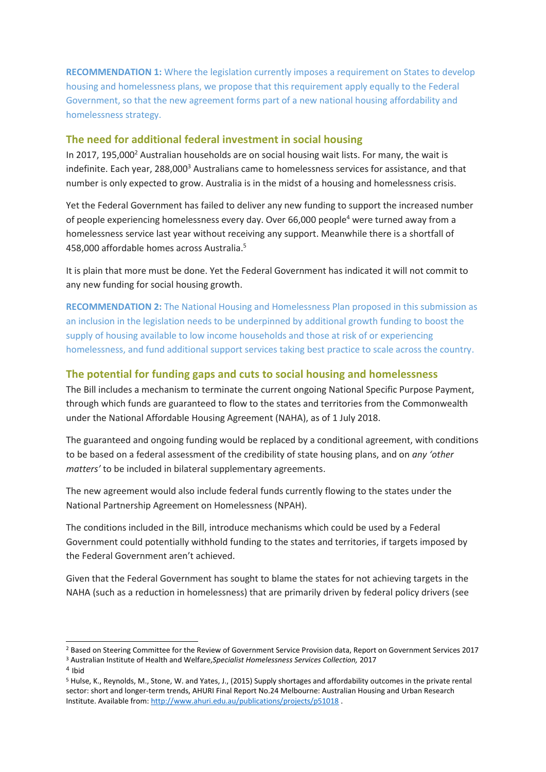**RECOMMENDATION 1:** Where the legislation currently imposes a requirement on States to develop housing and homelessness plans, we propose that this requirement apply equally to the Federal Government, so that the new agreement forms part of a new national housing affordability and homelessness strategy.

#### **The need for additional federal investment in social housing**

In 2017, 195,000<sup>2</sup> Australian households are on social housing wait lists. For many, the wait is indefinite. Each year, 288,000<sup>3</sup> Australians came to homelessness services for assistance, and that number is only expected to grow. Australia is in the midst of a housing and homelessness crisis.

Yet the Federal Government has failed to deliver any new funding to support the increased number of people experiencing homelessness every day. Over 66,000 people<sup>4</sup> were turned away from a homelessness service last year without receiving any support. Meanwhile there is a shortfall of 458,000 affordable homes across Australia. 5

It is plain that more must be done. Yet the Federal Government has indicated it will not commit to any new funding for social housing growth.

**RECOMMENDATION 2:** The National Housing and Homelessness Plan proposed in this submission as an inclusion in the legislation needs to be underpinned by additional growth funding to boost the supply of housing available to low income households and those at risk of or experiencing homelessness, and fund additional support services taking best practice to scale across the country.

#### **The potential for funding gaps and cuts to social housing and homelessness**

The Bill includes a mechanism to terminate the current ongoing National Specific Purpose Payment, through which funds are guaranteed to flow to the states and territories from the Commonwealth under the National Affordable Housing Agreement (NAHA), as of 1 July 2018.

The guaranteed and ongoing funding would be replaced by a conditional agreement, with conditions to be based on a federal assessment of the credibility of state housing plans, and on *any 'other matters'* to be included in bilateral supplementary agreements.

The new agreement would also include federal funds currently flowing to the states under the National Partnership Agreement on Homelessness (NPAH).

The conditions included in the Bill, introduce mechanisms which could be used by a Federal Government could potentially withhold funding to the states and territories, if targets imposed by the Federal Government aren't achieved.

Given that the Federal Government has sought to blame the states for not achieving targets in the NAHA (such as a reduction in homelessness) that are primarily driven by federal policy drivers (see

1

<sup>&</sup>lt;sup>2</sup> Based on Steering Committee for the Review of Government Service Provision data, Report on Government Services 2017 <sup>3</sup> Australian Institute of Health and Welfare,*Specialist Homelessness Services Collection,* 2017

<sup>4</sup> Ibid

<sup>5</sup> Hulse, K., Reynolds, M., Stone, W. and Yates, J., (2015) Supply shortages and affordability outcomes in the private rental sector: short and longer-term trends, AHURI Final Report No.24 Melbourne: Australian Housing and Urban Research Institute. Available from: <http://www.ahuri.edu.au/publications/projects/p51018> .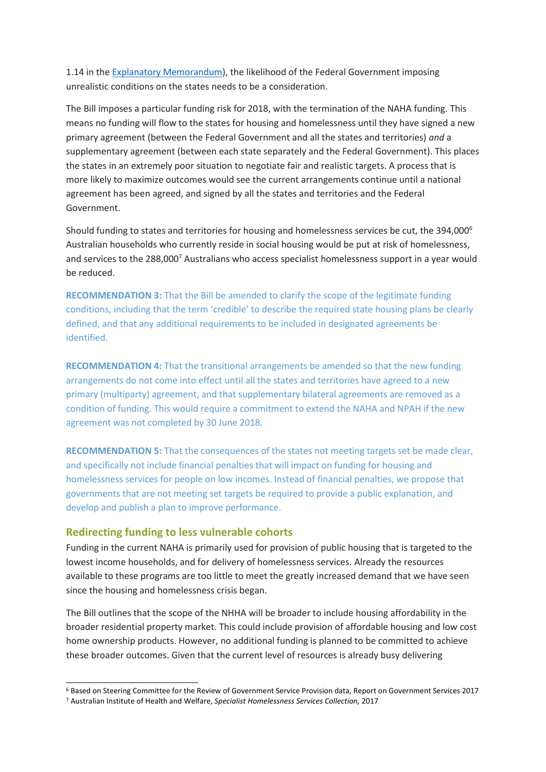1.14 in the [Explanatory Memorandum\)](http://parlinfo.aph.gov.au/parlInfo/download/legislation/ems/r6005_ems_a8236f9a-4d7a-4e7d-a965-45286380b13f/upload_pdf/650869.pdf;fileType=application%2Fpdf), the likelihood of the Federal Government imposing unrealistic conditions on the states needs to be a consideration.

The Bill imposes a particular funding risk for 2018, with the termination of the NAHA funding. This means no funding will flow to the states for housing and homelessness until they have signed a new primary agreement (between the Federal Government and all the states and territories) *and* a supplementary agreement (between each state separately and the Federal Government). This places the states in an extremely poor situation to negotiate fair and realistic targets. A process that is more likely to maximize outcomes would see the current arrangements continue until a national agreement has been agreed, and signed by all the states and territories and the Federal Government.

Should funding to states and territories for housing and homelessness services be cut, the 394,000<sup>6</sup> Australian households who currently reside in social housing would be put at risk of homelessness, and services to the 288,000<sup>7</sup> Australians who access specialist homelessness support in a year would be reduced.

**RECOMMENDATION 3:** That the Bill be amended to clarify the scope of the legitimate funding conditions, including that the term 'credible' to describe the required state housing plans be clearly defined, and that any additional requirements to be included in designated agreements be identified.

**RECOMMENDATION 4:** That the transitional arrangements be amended so that the new funding arrangements do not come into effect until all the states and territories have agreed to a new primary (multiparty) agreement, and that supplementary bilateral agreements are removed as a condition of funding. This would require a commitment to extend the NAHA and NPAH if the new agreement was not completed by 30 June 2018.

**RECOMMENDATION 5:** That the consequences of the states not meeting targets set be made clear, and specifically not include financial penalties that will impact on funding for housing and homelessness services for people on low incomes. Instead of financial penalties, we propose that governments that are not meeting set targets be required to provide a public explanation, and develop and publish a plan to improve performance.

#### **Redirecting funding to less vulnerable cohorts**

1

Funding in the current NAHA is primarily used for provision of public housing that is targeted to the lowest income households, and for delivery of homelessness services. Already the resources available to these programs are too little to meet the greatly increased demand that we have seen since the housing and homelessness crisis began.

The Bill outlines that the scope of the NHHA will be broader to include housing affordability in the broader residential property market. This could include provision of affordable housing and low cost home ownership products. However, no additional funding is planned to be committed to achieve these broader outcomes. Given that the current level of resources is already busy delivering

<sup>6</sup> Based on Steering Committee for the Review of Government Service Provision data, Report on Government Services 2017 <sup>7</sup> Australian Institute of Health and Welfare, *Specialist Homelessness Services Collection,* 2017